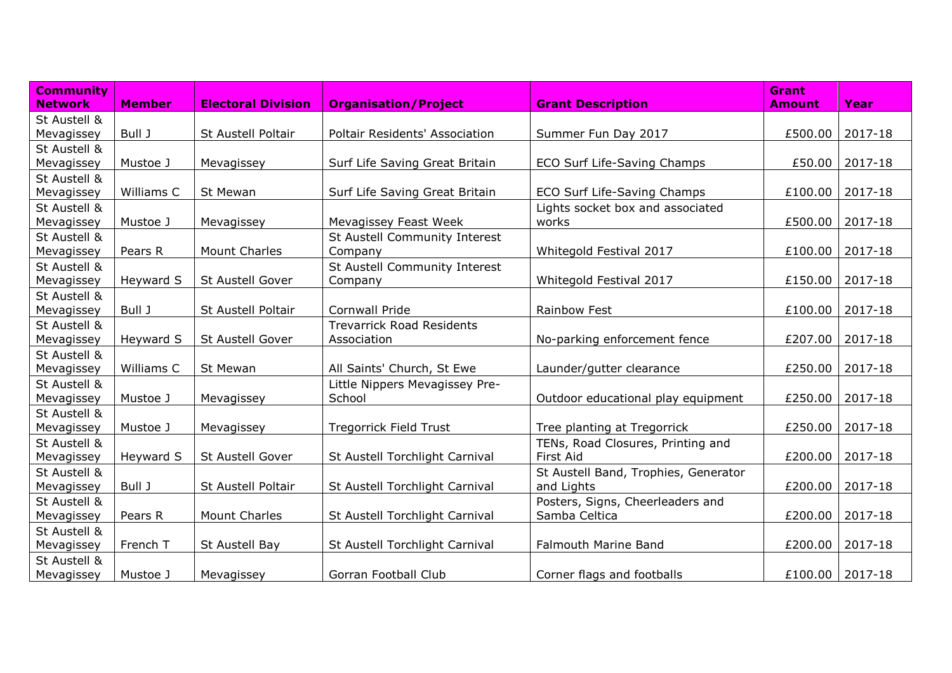| <b>Community</b> |               |                           |                                       |                                      | <b>Grant</b>  |         |
|------------------|---------------|---------------------------|---------------------------------------|--------------------------------------|---------------|---------|
| <b>Network</b>   | <b>Member</b> | <b>Electoral Division</b> | <b>Organisation/Project</b>           | <b>Grant Description</b>             | <b>Amount</b> | Year    |
| St Austell &     |               |                           |                                       |                                      |               |         |
| Mevagissey       | Bull J        | St Austell Poltair        | <b>Poltair Residents' Association</b> | Summer Fun Day 2017                  | £500.00       | 2017-18 |
| St Austell &     |               |                           |                                       |                                      |               |         |
| Mevagissey       | Mustoe J      | Mevagissey                | Surf Life Saving Great Britain        | ECO Surf Life-Saving Champs          | £50.00        | 2017-18 |
| St Austell &     |               |                           |                                       |                                      |               |         |
| Mevagissey       | Williams C    | <b>St Mewan</b>           | Surf Life Saving Great Britain        | ECO Surf Life-Saving Champs          | £100.00       | 2017-18 |
| St Austell &     |               |                           |                                       | Lights socket box and associated     |               |         |
| Mevagissey       | Mustoe J      | Mevagissey                | Mevagissey Feast Week                 | works                                | £500.00       | 2017-18 |
| St Austell &     |               |                           | St Austell Community Interest         |                                      |               |         |
| Mevagissey       | Pears R       | Mount Charles             | Company                               | Whitegold Festival 2017              | £100.00       | 2017-18 |
| St Austell &     |               |                           | St Austell Community Interest         |                                      |               |         |
| Mevagissey       | Heyward S     | St Austell Gover          | Company                               | Whitegold Festival 2017              | £150.00       | 2017-18 |
| St Austell &     |               |                           |                                       |                                      |               |         |
| Mevagissey       | Bull J        | St Austell Poltair        | Cornwall Pride                        | Rainbow Fest                         | £100.00       | 2017-18 |
| St Austell &     |               |                           | <b>Trevarrick Road Residents</b>      |                                      |               |         |
| Mevagissey       | Heyward S     | St Austell Gover          | Association                           | No-parking enforcement fence         | £207.00       | 2017-18 |
| St Austell &     |               |                           |                                       |                                      |               |         |
| Mevagissey       | Williams C    | St Mewan                  | All Saints' Church, St Ewe            | Launder/gutter clearance             | £250.00       | 2017-18 |
| St Austell &     |               |                           | Little Nippers Mevagissey Pre-        |                                      |               |         |
| Mevagissey       | Mustoe J      | Mevagissey                | School                                | Outdoor educational play equipment   | £250.00       | 2017-18 |
| St Austell &     |               |                           |                                       |                                      |               |         |
| Mevagissey       | Mustoe J      | Mevagissey                | Tregorrick Field Trust                | Tree planting at Tregorrick          | £250.00       | 2017-18 |
| St Austell &     |               |                           |                                       | TENs, Road Closures, Printing and    |               |         |
| Mevagissey       | Heyward S     | St Austell Gover          | St Austell Torchlight Carnival        | First Aid                            | £200.00       | 2017-18 |
| St Austell &     |               |                           |                                       | St Austell Band, Trophies, Generator |               |         |
| Mevagissey       | Bull J        | St Austell Poltair        | St Austell Torchlight Carnival        | and Lights                           | £200.00       | 2017-18 |
| St Austell &     |               |                           |                                       | Posters, Signs, Cheerleaders and     |               |         |
| Mevagissey       | Pears R       | <b>Mount Charles</b>      | St Austell Torchlight Carnival        | Samba Celtica                        | £200.00       | 2017-18 |
| St Austell &     |               |                           |                                       |                                      |               |         |
| Mevagissey       | French T      | St Austell Bay            | St Austell Torchlight Carnival        | <b>Falmouth Marine Band</b>          | £200.00       | 2017-18 |
| St Austell &     |               |                           |                                       |                                      |               |         |
| Mevagissey       | Mustoe J      | Mevagissey                | Gorran Football Club                  | Corner flags and footballs           | £100.00       | 2017-18 |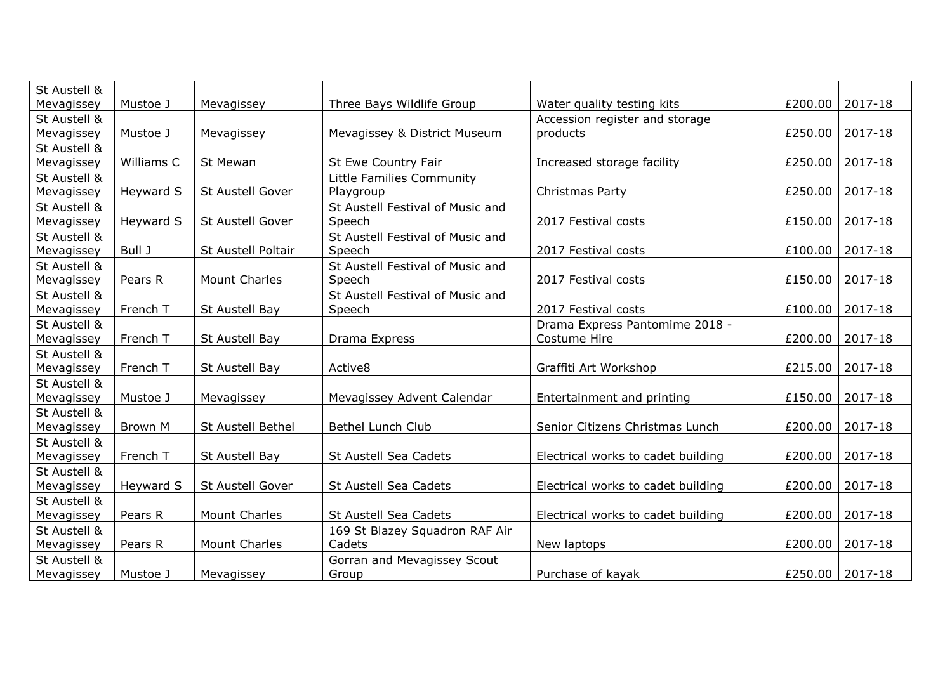| St Austell & |            |                      |                                  |                                    |         |         |
|--------------|------------|----------------------|----------------------------------|------------------------------------|---------|---------|
| Mevagissey   | Mustoe J   | Mevagissey           | Three Bays Wildlife Group        | Water quality testing kits         | £200.00 | 2017-18 |
| St Austell & |            |                      |                                  | Accession register and storage     |         |         |
| Mevagissey   | Mustoe J   | Mevagissey           | Mevagissey & District Museum     | products                           | £250.00 | 2017-18 |
| St Austell & |            |                      |                                  |                                    |         |         |
| Mevagissey   | Williams C | St Mewan             | St Ewe Country Fair              | Increased storage facility         | £250.00 | 2017-18 |
| St Austell & |            |                      | Little Families Community        |                                    |         |         |
| Mevagissey   | Heyward S  | St Austell Gover     | Playgroup                        | Christmas Party                    | £250.00 | 2017-18 |
| St Austell & |            |                      | St Austell Festival of Music and |                                    |         |         |
| Mevagissey   | Heyward S  | St Austell Gover     | Speech                           | 2017 Festival costs                | £150.00 | 2017-18 |
| St Austell & |            |                      | St Austell Festival of Music and |                                    |         |         |
| Mevagissey   | Bull J     | St Austell Poltair   | Speech                           | 2017 Festival costs                | £100.00 | 2017-18 |
| St Austell & |            |                      | St Austell Festival of Music and |                                    |         |         |
| Mevagissey   | Pears R    | <b>Mount Charles</b> | Speech                           | 2017 Festival costs                | £150.00 | 2017-18 |
| St Austell & |            |                      | St Austell Festival of Music and |                                    |         |         |
| Mevagissey   | French T   | St Austell Bay       | Speech                           | 2017 Festival costs                | £100.00 | 2017-18 |
| St Austell & |            |                      |                                  | Drama Express Pantomime 2018 -     |         |         |
| Mevagissey   | French T   | St Austell Bay       | Drama Express                    | Costume Hire                       | £200.00 | 2017-18 |
| St Austell & |            |                      |                                  |                                    |         |         |
| Mevagissey   | French T   | St Austell Bay       | Active8                          | Graffiti Art Workshop              | £215.00 | 2017-18 |
| St Austell & |            |                      |                                  |                                    |         |         |
| Mevagissey   | Mustoe J   | Mevagissey           | Mevagissey Advent Calendar       | Entertainment and printing         | £150.00 | 2017-18 |
| St Austell & |            |                      |                                  |                                    |         |         |
| Mevagissey   | Brown M    | St Austell Bethel    | Bethel Lunch Club                | Senior Citizens Christmas Lunch    | £200.00 | 2017-18 |
| St Austell & |            |                      |                                  |                                    |         |         |
| Mevagissey   | French T   | St Austell Bay       | St Austell Sea Cadets            | Electrical works to cadet building | £200.00 | 2017-18 |
| St Austell & |            |                      |                                  |                                    |         |         |
| Mevagissey   | Heyward S  | St Austell Gover     | St Austell Sea Cadets            | Electrical works to cadet building | £200.00 | 2017-18 |
| St Austell & |            |                      |                                  |                                    |         |         |
| Mevagissey   | Pears R    | <b>Mount Charles</b> | St Austell Sea Cadets            | Electrical works to cadet building | £200.00 | 2017-18 |
| St Austell & |            |                      | 169 St Blazey Squadron RAF Air   |                                    |         |         |
| Mevagissey   | Pears R    | <b>Mount Charles</b> | Cadets                           | New laptops                        | £200.00 | 2017-18 |
| St Austell & |            |                      | Gorran and Mevagissey Scout      |                                    |         |         |
| Mevagissey   | Mustoe J   | Mevagissey           | Group                            | Purchase of kayak                  | £250.00 | 2017-18 |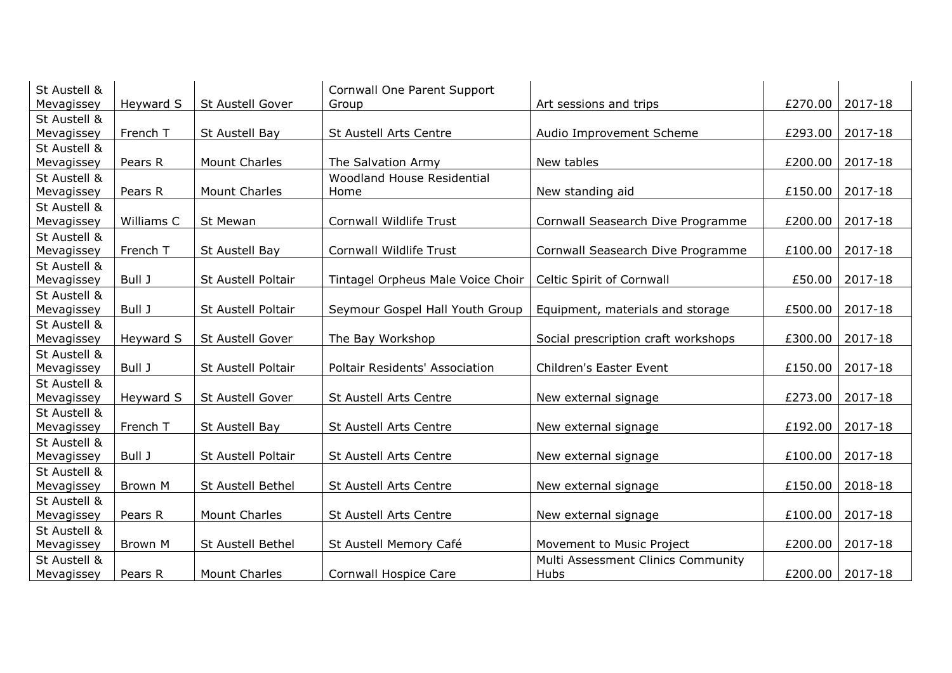| St Austell & |            |                      | Cornwall One Parent Support       |                                     |         |         |
|--------------|------------|----------------------|-----------------------------------|-------------------------------------|---------|---------|
| Mevagissey   | Heyward S  | St Austell Gover     | Group                             | Art sessions and trips              | £270.00 | 2017-18 |
| St Austell & |            |                      |                                   |                                     |         |         |
| Mevagissey   | French T   | St Austell Bay       | St Austell Arts Centre            | Audio Improvement Scheme            | £293.00 | 2017-18 |
| St Austell & |            |                      |                                   |                                     |         |         |
| Mevagissey   | Pears R    | <b>Mount Charles</b> | The Salvation Army                | New tables                          | £200.00 | 2017-18 |
| St Austell & |            |                      | Woodland House Residential        |                                     |         |         |
| Mevagissey   | Pears R    | <b>Mount Charles</b> | Home                              | New standing aid                    | £150.00 | 2017-18 |
| St Austell & |            |                      |                                   |                                     |         |         |
| Mevagissey   | Williams C | St Mewan             | Cornwall Wildlife Trust           | Cornwall Seasearch Dive Programme   | £200.00 | 2017-18 |
| St Austell & |            |                      |                                   |                                     |         |         |
| Mevagissey   | French T   | St Austell Bay       | Cornwall Wildlife Trust           | Cornwall Seasearch Dive Programme   | £100.00 | 2017-18 |
| St Austell & |            |                      |                                   |                                     |         |         |
| Mevagissey   | Bull J     | St Austell Poltair   | Tintagel Orpheus Male Voice Choir | Celtic Spirit of Cornwall           | £50.00  | 2017-18 |
| St Austell & |            |                      |                                   |                                     |         |         |
| Mevagissey   | Bull J     | St Austell Poltair   | Seymour Gospel Hall Youth Group   | Equipment, materials and storage    | £500.00 | 2017-18 |
| St Austell & |            |                      |                                   |                                     |         |         |
| Mevagissey   | Heyward S  | St Austell Gover     | The Bay Workshop                  | Social prescription craft workshops | £300.00 | 2017-18 |
| St Austell & |            |                      |                                   |                                     |         |         |
| Mevagissey   | Bull J     | St Austell Poltair   | Poltair Residents' Association    | Children's Easter Event             | £150.00 | 2017-18 |
| St Austell & |            |                      |                                   |                                     |         |         |
| Mevagissey   | Heyward S  | St Austell Gover     | St Austell Arts Centre            | New external signage                | £273.00 | 2017-18 |
| St Austell & |            |                      |                                   |                                     |         |         |
| Mevagissey   | French T   | St Austell Bay       | St Austell Arts Centre            | New external signage                | £192.00 | 2017-18 |
| St Austell & |            |                      |                                   |                                     |         |         |
| Mevagissey   | Bull J     | St Austell Poltair   | St Austell Arts Centre            | New external signage                | £100.00 | 2017-18 |
| St Austell & |            |                      |                                   |                                     |         |         |
| Mevagissey   | Brown M    | St Austell Bethel    | St Austell Arts Centre            | New external signage                | £150.00 | 2018-18 |
| St Austell & |            |                      |                                   |                                     |         |         |
| Mevagissey   | Pears R    | <b>Mount Charles</b> | St Austell Arts Centre            | New external signage                | £100.00 | 2017-18 |
| St Austell & |            |                      |                                   |                                     |         |         |
| Mevagissey   | Brown M    | St Austell Bethel    | St Austell Memory Café            | Movement to Music Project           | £200.00 | 2017-18 |
| St Austell & |            |                      |                                   | Multi Assessment Clinics Community  |         |         |
| Mevagissey   | Pears R    | <b>Mount Charles</b> | Cornwall Hospice Care             | Hubs                                | £200.00 | 2017-18 |